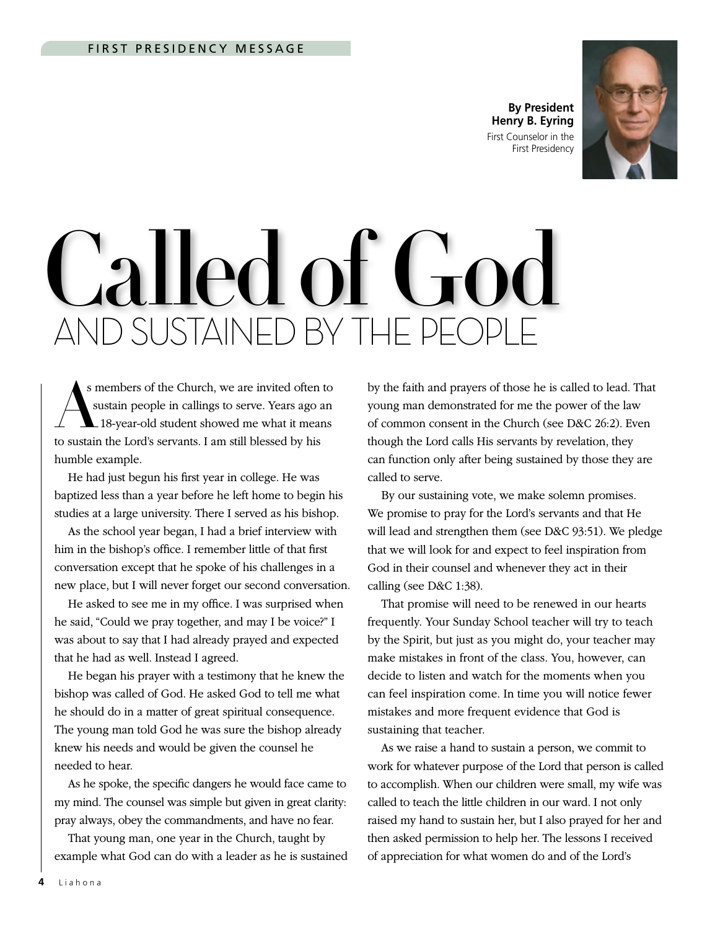**By President Henry B. Eyring** First Counselor in the First Presidency



# Called of Go AND SUSTAINED BY THE PEOP

 $\sum_{s}^{s}$ s members of the Church, we are invited often to sustain people in callings to serve. Years ago an 18-year-old student showed me what it means to sustain the Lord's servants. I am still blessed by his humble example.

He had just begun his first year in college. He was baptized less than a year before he left home to begin his studies at a large university. There I served as his bishop.

As the school year began, I had a brief interview with him in the bishop's office. I remember little of that first conversation except that he spoke of his challenges in a new place, but I will never forget our second conversation.

He asked to see me in my office. I was surprised when he said, "Could we pray together, and may I be voice?" I was about to say that I had already prayed and expected that he had as well. Instead I agreed.

He began his prayer with a testimony that he knew the bishop was called of God. He asked God to tell me what he should do in a matter of great spiritual consequence. The young man told God he was sure the bishop already knew his needs and would be given the counsel he needed to hear.

As he spoke, the specific dangers he would face came to my mind. The counsel was simple but given in great clarity: pray always, obey the commandments, and have no fear.

That young man, one year in the Church, taught by example what God can do with a leader as he is sustained by the faith and prayers of those he is called to lead. That young man demonstrated for me the power of the law of common consent in the Church (see D&C 26:2). Even though the Lord calls His servants by revelation, they can function only after being sustained by those they are called to serve.

By our sustaining vote, we make solemn promises. We promise to pray for the Lord's servants and that He will lead and strengthen them (see D&C 93:51). We pledge that we will look for and expect to feel inspiration from God in their counsel and whenever they act in their calling (see D&C 1:38).

That promise will need to be renewed in our hearts frequently. Your Sunday School teacher will try to teach by the Spirit, but just as you might do, your teacher may make mistakes in front of the class. You, however, can decide to listen and watch for the moments when you can feel inspiration come. In time you will notice fewer mistakes and more frequent evidence that God is sustaining that teacher.

As we raise a hand to sustain a person, we commit to work for whatever purpose of the Lord that person is called to accomplish. When our children were small, my wife was called to teach the little children in our ward. I not only raised my hand to sustain her, but I also prayed for her and then asked permission to help her. The lessons I received of appreciation for what women do and of the Lord's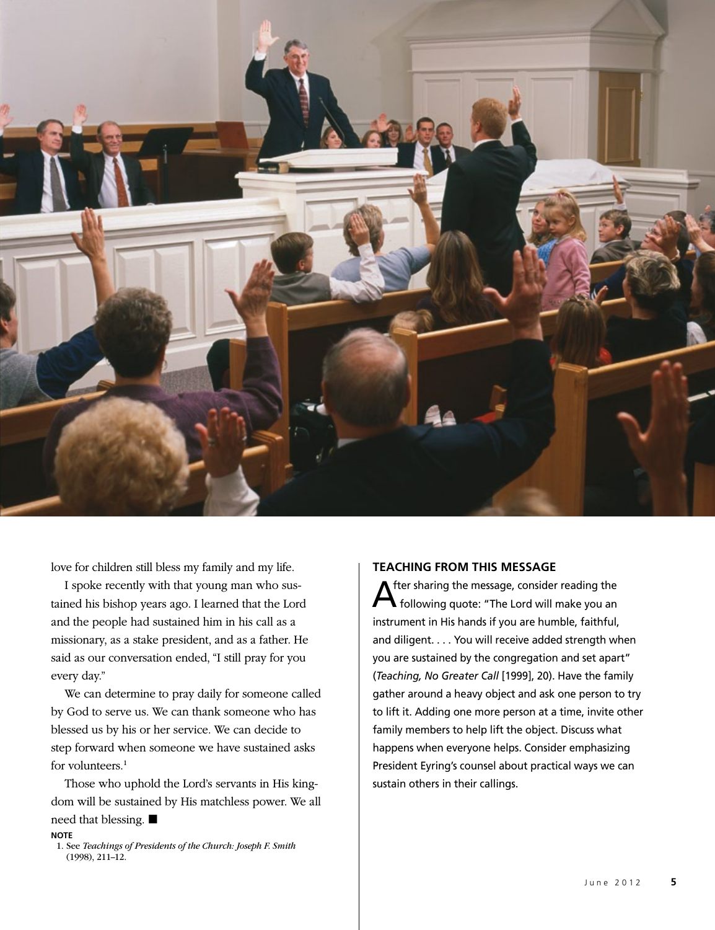

love for children still bless my family and my life.

I spoke recently with that young man who sustained his bishop years ago. I learned that the Lord and the people had sustained him in his call as a missionary, as a stake president, and as a father. He said as our conversation ended, "I still pray for you every day."

We can determine to pray daily for someone called by God to serve us. We can thank someone who has blessed us by his or her service. We can decide to step forward when someone we have sustained asks for volunteers.<sup>1</sup>

Those who uphold the Lord's servants in His kingdom will be sustained by His matchless power. We all need that blessing.  $\blacksquare$ 

### **NOTE**

1. See *Teachings of Presidents of the Church: Joseph F. Smith* (1998), 211–12.

## **TEACHING FROM THIS MESSAGE**

After sharing the message, consider reading the following quote: "The Lord will make you an instrument in His hands if you are humble, faithful, and diligent. . . . You will receive added strength when you are sustained by the congregation and set apart" (*Teaching, No Greater Call* [1999], 20). Have the family gather around a heavy object and ask one person to try to lift it. Adding one more person at a time, invite other family members to help lift the object. Discuss what happens when everyone helps. Consider emphasizing President Eyring's counsel about practical ways we can sustain others in their callings.